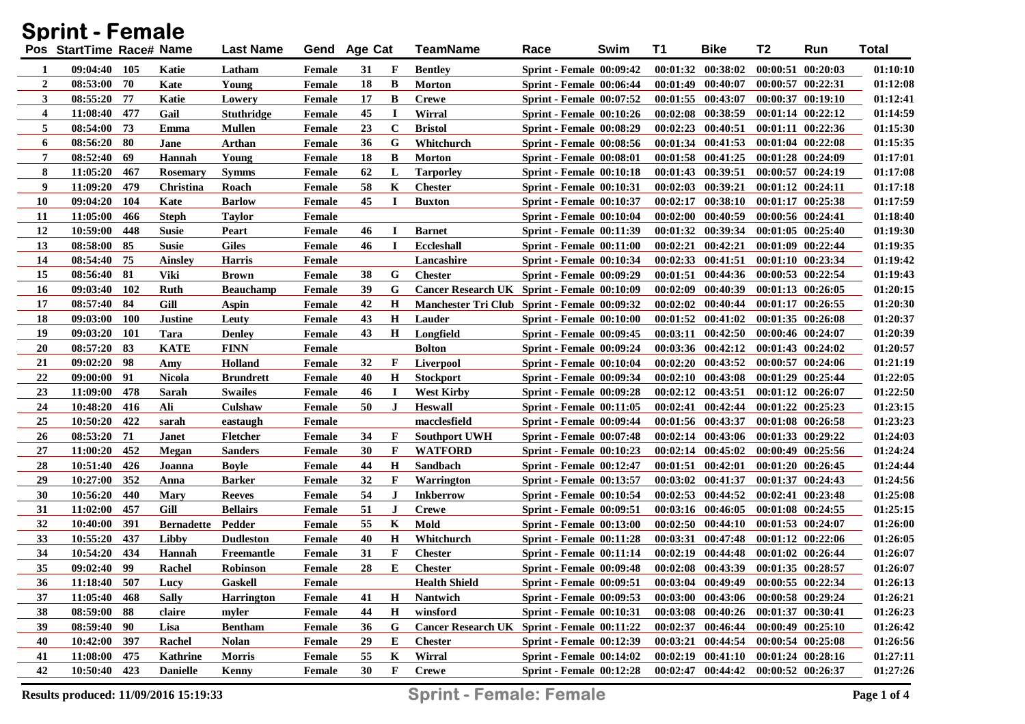| Sprint - Female  |                          |            |                   |                   |              |    |  |             |                                              |                                 |      |          |                                             |                       |                       |              |
|------------------|--------------------------|------------|-------------------|-------------------|--------------|----|--|-------------|----------------------------------------------|---------------------------------|------|----------|---------------------------------------------|-----------------------|-----------------------|--------------|
|                  | Pos StartTime Race# Name |            |                   | <b>Last Name</b>  | Gend Age Cat |    |  |             | <b>TeamName</b>                              | Race                            | Swim | T1       | <b>Bike</b>                                 | T2                    | Run                   | <b>Total</b> |
| 1                | 09:04:40 105             |            | Katie             | Latham            | Female       | 31 |  | F           | <b>Bentley</b>                               | <b>Sprint - Female 00:09:42</b> |      |          | 00:01:32 00:38:02                           |                       | 00:00:51 00:20:03     | 01:10:10     |
| $\boldsymbol{2}$ | $08:53:00$ 70            |            | Kate              | Young             | Female       | 18 |  | B           | <b>Morton</b>                                | Sprint - Female 00:06:44        |      |          | $00:01:49$ $00:40:07$                       |                       | $00:00:57$ $00:22:31$ | 01:12:08     |
| 3                | 08:55:20 77              |            | Katie             | Lowery            | Female       | 17 |  | B           | <b>Crewe</b>                                 | <b>Sprint - Female 00:07:52</b> |      |          | $00:01:55$ $00:43:07$                       |                       | $00:00:37$ $00:19:10$ | 01:12:41     |
| 4                | 11:08:40 477             |            | Gail              | <b>Stuthridge</b> | Female       | 45 |  | 1           | Wirral                                       | Sprint - Female 00:10:26        |      |          | $00:02:08$ $00:38:59$                       |                       | $00:01:14$ $00:22:12$ | 01:14:59     |
| 5                | 08:54:00 73              |            | Emma              | Mullen            | Female       | 23 |  | $\mathbf c$ | <b>Bristol</b>                               | <b>Sprint - Female 00:08:29</b> |      |          | $00:02:23$ $00:40:51$                       |                       | $00:01:11$ $00:22:36$ | 01:15:30     |
| 6                | 08:56:20 80              |            | Jane              | Arthan            | Female       | 36 |  | G           | Whitchurch                                   | <b>Sprint - Female 00:08:56</b> |      |          | $00:01:34$ $00:41:53$                       |                       | $00:01:04$ $00:22:08$ | 01:15:35     |
| 7                | 08:52:40                 | -69        | Hannah            | Young             | Female       | 18 |  | B           | <b>Morton</b>                                | <b>Sprint - Female 00:08:01</b> |      |          | $00:01:58$ $00:41:25$                       |                       | 00:01:28 00:24:09     | 01:17:01     |
| 8                | 11:05:20                 | -467       | <b>Rosemary</b>   | <b>Symms</b>      | Female       | 62 |  | L           | Tarporley                                    | <b>Sprint - Female 00:10:18</b> |      |          | $00:01:43$ $00:39:51$                       |                       | 00:00:57 00:24:19     | 01:17:08     |
| 9                | 11:09:20                 | 479        | Christina         | Roach             | Female       | 58 |  | K           | <b>Chester</b>                               | <b>Sprint - Female 00:10:31</b> |      |          | $00:02:03$ $00:39:21$                       |                       | $00:01:12$ $00:24:11$ | 01:17:18     |
| <b>10</b>        | 09:04:20                 | 104        | Kate              | <b>Barlow</b>     | Female       | 45 |  |             | <b>Buxton</b>                                | <b>Sprint - Female 00:10:37</b> |      | 00:02:17 | 00:38:10                                    |                       | $00:01:17$ $00:25:38$ | 01:17:59     |
| 11               | 11:05:00                 | 466        | <b>Steph</b>      | Taylor            | Female       |    |  |             |                                              | <b>Sprint - Female 00:10:04</b> |      |          | $00:02:00$ $00:40:59$                       |                       | 00:00:56 00:24:41     | 01:18:40     |
| 12               | 10:59:00                 | 448        | <b>Susie</b>      | Peart             | Female       | 46 |  |             | <b>Barnet</b>                                | <b>Sprint - Female 00:11:39</b> |      |          | 00:01:32 00:39:34                           |                       | $00:01:05$ $00:25:40$ | 01:19:30     |
| 13               | 08:58:00                 | -85        | <b>Susie</b>      | <b>Giles</b>      | Female       | 46 |  | - 1         | <b>Eccleshall</b>                            | <b>Sprint - Female 00:11:00</b> |      |          | $00:02:21$ $00:42:21$                       |                       | $00:01:09$ $00:22:44$ | 01:19:35     |
| 14               | 08:54:40                 | -75        | Ainsley           | Harris            | Female       |    |  |             | Lancashire                                   | <b>Sprint - Female 00:10:34</b> |      |          | $00:02:33$ $00:41:51$                       |                       | 00:01:10 00:23:34     | 01:19:42     |
| 15               | 08:56:40 81              |            | Viki              | Brown             | Female       | 38 |  | G           | <b>Chester</b>                               | <b>Sprint - Female 00:09:29</b> |      | 00:01:51 | 00:44:36                                    |                       | $00:00:53$ $00:22:54$ | 01:19:43     |
| 16               | 09:03:40 102             |            | Ruth              | <b>Beauchamp</b>  | Female       | 39 |  | G           | Cancer Research UK Sprint - Female 00:10:09  |                                 |      |          | $00:02:09$ $00:40:39$                       |                       | $00:01:13$ $00:26:05$ | 01:20:15     |
| 17               | 08:57:40 84              |            | Gill              | Aspin             | Female       | 42 |  | Н           | Manchester Tri Club Sprint - Female 00:09:32 |                                 |      |          | $00:02:02$ $00:40:44$                       |                       | $00:01:17$ $00:26:55$ | 01:20:30     |
| <b>18</b>        | 09:03:00                 | <b>100</b> | <b>Justine</b>    | Leuty             | Female       | 43 |  | Н           | Lauder                                       | Sprint - Female 00:10:00        |      |          | $00:01:52$ $00:41:02$                       |                       | $00:01:35$ $00:26:08$ | 01:20:37     |
| 19               | 09:03:20 101             |            | Tara              | <b>Denley</b>     | Female       | 43 |  | Н           | Longfield                                    | <b>Sprint - Female 00:09:45</b> |      |          | $00:03:11$ $00:42:50$                       |                       | 00:00:46 00:24:07     | 01:20:39     |
| <b>20</b>        | 08:57:20 83              |            | <b>KATE</b>       | <b>FINN</b>       | Female       |    |  |             | <b>Bolton</b>                                | Sprint - Female 00:09:24        |      |          | $00:03:36$ $00:42:12$                       |                       | $00:01:43$ $00:24:02$ | 01:20:57     |
| 21               | 09:02:20                 | - 98       | Amy               | Holland           | Female       | 32 |  | F           | <b>Liverpool</b>                             | Sprint - Female 00:10:04        |      |          | $00:02:20$ $00:43:52$                       |                       | 00:00:57 00:24:06     | 01:21:19     |
| 22               | $09:00:00$ 91            |            | Nicola            | <b>Brundrett</b>  | Female       | 40 |  | $\bf H$     | <b>Stockport</b>                             | <b>Sprint - Female 00:09:34</b> |      |          | $00:02:10$ $00:43:08$                       |                       | $00:01:29$ $00:25:44$ | 01:22:05     |
| 23               | 11:09:00                 | 478        | Sarah             | <b>Swailes</b>    | Female       | 46 |  | I           | <b>West Kirby</b>                            | <b>Sprint - Female 00:09:28</b> |      |          | $00:02:12$ $00:43:51$                       |                       | $00:01:12$ $00:26:07$ | 01:22:50     |
| 24               | 10:48:20                 | 416        | Ali               | Culshaw           | Female       | 50 |  | $\bf J$     | <b>Heswall</b>                               | <b>Sprint - Female 00:11:05</b> |      |          | $00:02:41$ $00:42:44$                       |                       | $00:01:22$ $00:25:23$ | 01:23:15     |
| 25               | 10:50:20                 | 422        | sarah             | eastaugh          | Female       |    |  |             | macclesfield                                 | <b>Sprint - Female 00:09:44</b> |      |          | 00:01:56 00:43:37                           |                       | $00:01:08$ $00:26:58$ | 01:23:23     |
| 26               | 08:53:20                 | 71         | <b>Janet</b>      | <b>Fletcher</b>   | Female       | 34 |  | F           | <b>Southport UWH</b>                         | Sprint - Female 00:07:48        |      |          | $00:02:14$ $00:43:06$                       |                       | 00:01:33 00:29:22     | 01:24:03     |
| 27               | 11:00:20                 | 452        | Megan             | <b>Sanders</b>    | Female       | 30 |  | F           | <b>WATFORD</b>                               | Sprint - Female 00:10:23        |      |          | $00:02:14$ $00:45:02$                       |                       | $00:00:49$ $00:25:56$ | 01:24:24     |
| 28               | 10:51:40                 | 426        | Joanna            | <b>Boyle</b>      | Female       | 44 |  | $\mathbf H$ | Sandbach                                     | <b>Sprint - Female 00:12:47</b> |      |          | $00:01:51$ $00:42:01$                       |                       | $00:01:20$ $00:26:45$ | 01:24:44     |
| 29               | 10:27:00                 | 352        | Anna              | <b>Barker</b>     | Female       | 32 |  | F           | Warrington                                   | <b>Sprint - Female 00:13:57</b> |      |          | 00:03:02 00:41:37                           |                       | 00:01:37 00:24:43     | 01:24:56     |
| 30               | 10:56:20                 | 440        | <b>Mary</b>       | <b>Reeves</b>     | Female       | 54 |  | J           | <b>Inkberrow</b>                             | Sprint - Female 00:10:54        |      |          | $00:02:53$ $00:44:52$                       |                       | 00:02:41 00:23:48     | 01:25:08     |
| 31               | 11:02:00                 | 457        | Gill              | <b>Bellairs</b>   | Female       | 51 |  | J           | <b>Crewe</b>                                 | <b>Sprint - Female 00:09:51</b> |      |          | 00:03:16 00:46:05                           |                       | $00:01:08$ $00:24:55$ | 01:25:15     |
| 32               | 10:40:00                 | 391        | <b>Bernadette</b> | Pedder            | Female       | 55 |  | K           | Mold                                         | <b>Sprint - Female 00:13:00</b> |      |          | $00:02:50$ $00:44:10$                       |                       | $00:01:53$ $00:24:07$ | 01:26:00     |
| 33               | 10:55:20                 | 437        | Libby             | <b>Dudleston</b>  | Female       | 40 |  | H           | Whitchurch                                   | Sprint - Female 00:11:28        |      |          | 00:03:31 00:47:48                           |                       | $00:01:12$ $00:22:06$ | 01:26:05     |
| 34               | 10:54:20                 | 434        | <b>Hannah</b>     | Freemantle        | Female       | 31 |  | F           | <b>Chester</b>                               | <b>Sprint - Female 00:11:14</b> |      |          | $00:02:19$ $00:44:48$                       |                       | $00:01:02$ $00:26:44$ | 01:26:07     |
| 35               | 09:02:40 99              |            | Rachel            | Robinson          | Female       | 28 |  | E           | <b>Chester</b>                               | <b>Sprint - Female 00:09:48</b> |      |          | $00:02:08$ $00:43:39$                       | $00:01:35$ $00:28:57$ |                       | 01:26:07     |
| 36               | 11:18:40 507             |            | Lucy              | Gaskell           | Female       |    |  |             | <b>Health Shield</b>                         | <b>Sprint - Female 00:09:51</b> |      |          | 00:03:04 00:49:49 00:00:55 00:22:34         |                       |                       | 01:26:13     |
| 37               | 11:05:40 468             |            | <b>Sally</b>      | <b>Harrington</b> | Female       | 41 |  | Н           | <b>Nantwich</b>                              | <b>Sprint - Female 00:09:53</b> |      |          | $00:03:00$ $00:43:06$                       | $00:00:58$ $00:29:24$ |                       | 01:26:21     |
| 38               | 08:59:00 88              |            | claire            | myler             | Female       | 44 |  | $\bf H$     | winsford                                     | <b>Sprint - Female 00:10:31</b> |      |          | $00:03:08$ $00:40:26$                       | 00:01:37 00:30:41     |                       | 01:26:23     |
| 39               | $08:59:40$ 90            |            | Lisa              | <b>Bentham</b>    | Female       | 36 |  | G           | Cancer Research UK Sprint - Female 00:11:22  |                                 |      |          | $00:02:37$ $00:46:44$                       | $00:00:49$ $00:25:10$ |                       | 01:26:42     |
| 40               | 10:42:00 397             |            | Rachel            | <b>Nolan</b>      | Female       | 29 |  | E           | <b>Chester</b>                               | <b>Sprint - Female 00:12:39</b> |      |          | $00:03:21$ $00:44:54$                       | 00:00:54 00:25:08     |                       | 01:26:56     |
| 41               | 11:08:00 475             |            | <b>Kathrine</b>   | <b>Morris</b>     | Female       | 55 |  | K           | Wirral                                       | Sprint - Female 00:14:02        |      |          | $00:02:19$ $00:41:10$ $00:01:24$ $00:28:16$ |                       |                       | 01:27:11     |
| 42               | 10:50:40 423             |            | <b>Danielle</b>   | Kenny             | Female       | 30 |  | F           | <b>Crewe</b>                                 | Sprint - Female 00:12:28        |      |          | 00:02:47 00:44:42 00:00:52 00:26:37         |                       |                       | 01:27:26     |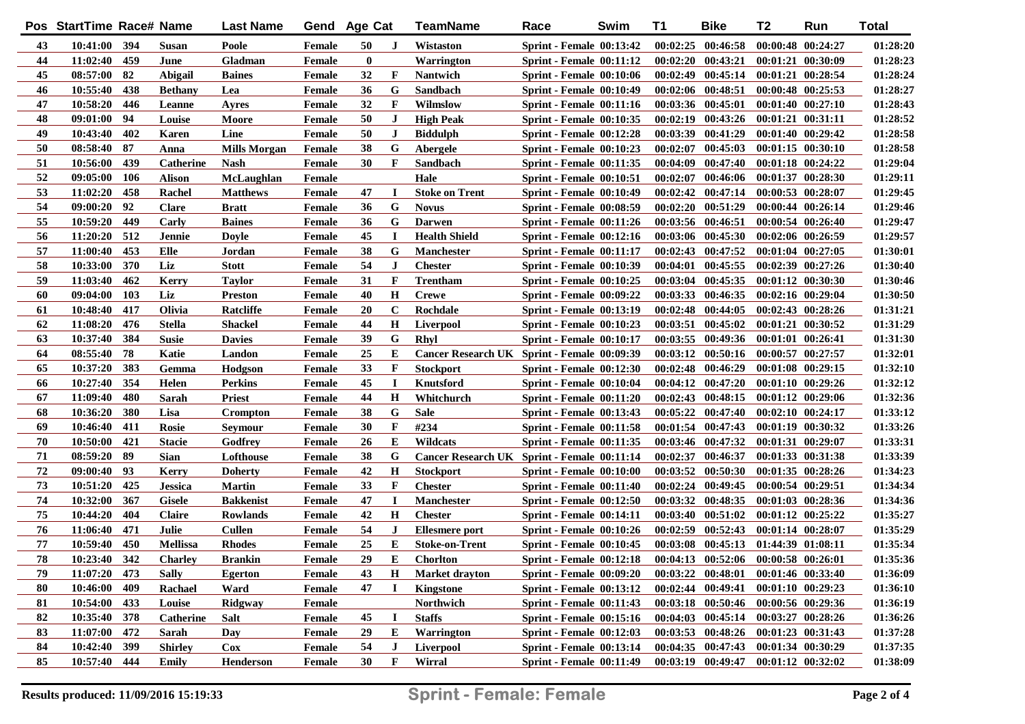|    | Pos StartTime Race# Name |     |                  | <b>Last Name</b>    | Gend Age Cat |           |             | <b>TeamName</b>                             | Race                            | Swim | T1       | <b>Bike</b>                         | T2                    | Run               | <b>Total</b> |
|----|--------------------------|-----|------------------|---------------------|--------------|-----------|-------------|---------------------------------------------|---------------------------------|------|----------|-------------------------------------|-----------------------|-------------------|--------------|
| 43 | 10:41:00 394             |     | Susan            | Poole               | Female       | 50        | J           | Wistaston                                   | <b>Sprint - Female 00:13:42</b> |      |          | $00:02:25$ $00:46:58$               | 00:00:48 00:24:27     |                   | 01:28:20     |
| 44 | 11:02:40                 | 459 | June             | Gladman             | Female       | $\bf{0}$  |             | Warrington                                  | <b>Sprint - Female 00:11:12</b> |      |          | $00:02:20$ $00:43:21$               | 00:01:21 00:30:09     |                   | 01:28:23     |
| 45 | 08:57:00                 | 82  | Abigail          | <b>Baines</b>       | Female       | 32        | F           | <b>Nantwich</b>                             | <b>Sprint - Female 00:10:06</b> |      |          | $00:02:49$ $00:45:14$               | $00:01:21$ $00:28:54$ |                   | 01:28:24     |
| 46 | 10:55:40                 | 438 | <b>Bethany</b>   | Lea                 | Female       | 36        | G           | Sandbach                                    | <b>Sprint - Female 00:10:49</b> |      |          | 00:02:06 00:48:51                   | $00:00:48$ $00:25:53$ |                   | 01:28:27     |
| 47 | 10:58:20                 | 446 | Leanne           | Ayres               | Female       | 32        | F           | Wilmslow                                    | <b>Sprint - Female 00:11:16</b> |      |          | 00:03:36 00:45:01                   | $00:01:40$ $00:27:10$ |                   | 01:28:43     |
| 48 | 09:01:00                 | 94  | Louise           | Moore               | Female       | 50        | J           | <b>High Peak</b>                            | <b>Sprint - Female 00:10:35</b> |      |          | 00:02:19 00:43:26                   | $00:01:21$ $00:31:11$ |                   | 01:28:52     |
| 49 | 10:43:40                 | 402 | Karen            | Line                | Female       | 50        | J           | <b>Biddulph</b>                             | Sprint - Female 00:12:28        |      | 00:03:39 | 00:41:29                            | $00:01:40$ $00:29:42$ |                   | 01:28:58     |
| 50 | 08:58:40                 | -87 | Anna             | <b>Mills Morgan</b> | Female       | 38        | G           | Abergele                                    | <b>Sprint - Female 00:10:23</b> |      | 00:02:07 | 00:45:03                            | $00:01:15$ $00:30:10$ |                   | 01:28:58     |
| 51 | 10:56:00                 | 439 | <b>Catherine</b> | <b>Nash</b>         | Female       | 30        | F           | <b>Sandbach</b>                             | <b>Sprint - Female 00:11:35</b> |      | 00:04:09 | 00:47:40                            | $00:01:18$ $00:24:22$ |                   | 01:29:04     |
| 52 | 09:05:00                 | 106 | <b>Alison</b>    | McLaughlan          | Female       |           |             | Hale                                        | <b>Sprint - Female 00:10:51</b> |      | 00:02:07 | 00:46:06                            | 00:01:37 00:28:30     |                   | 01:29:11     |
| 53 | 11:02:20                 | 458 | Rachel           | <b>Matthews</b>     | Female       | 47        |             | <b>Stoke on Trent</b>                       | <b>Sprint - Female 00:10:49</b> |      |          | 00:02:42 00:47:14                   | $00:00:53$ $00:28:07$ |                   | 01:29:45     |
| 54 | 09:00:20                 | 92  | <b>Clare</b>     | <b>Bratt</b>        | Female       | 36        | G           | <b>Novus</b>                                | <b>Sprint - Female 00:08:59</b> |      | 00:02:20 | 00:51:29                            | $00:00:44$ $00:26:14$ |                   | 01:29:46     |
| 55 | 10:59:20                 | 449 | Carly            | <b>Baines</b>       | Female       | 36        | G           | <b>Darwen</b>                               | <b>Sprint - Female 00:11:26</b> |      |          | 00:03:56 00:46:51                   | $00:00:54$ $00:26:40$ |                   | 01:29:47     |
| 56 | 11:20:20                 | 512 | Jennie           | Doyle               | Female       | 45        | - 1         | <b>Health Shield</b>                        | <b>Sprint - Female 00:12:16</b> |      |          | 00:03:06 00:45:30                   | $00:02:06$ $00:26:59$ |                   | 01:29:57     |
| 57 | 11:00:40                 | 453 | Elle             | Jordan              | Female       | 38        | G           | <b>Manchester</b>                           | <b>Sprint - Female 00:11:17</b> |      |          | 00:02:43 00:47:52                   | $00:01:04$ $00:27:05$ |                   | 01:30:01     |
| 58 | 10:33:00                 | 370 | Liz              | <b>Stott</b>        | Female       | 54        | J           | <b>Chester</b>                              | <b>Sprint - Female 00:10:39</b> |      | 00:04:01 | 00:45:55                            | 00:02:39 00:27:26     |                   | 01:30:40     |
| 59 | 11:03:40                 | 462 | <b>Kerry</b>     | Taylor              | Female       | 31        | F           | Trentham                                    | <b>Sprint - Female 00:10:25</b> |      |          | 00:03:04 00:45:35                   | $00:01:12$ $00:30:30$ |                   | 01:30:46     |
| 60 | 09:04:00                 | 103 | Liz              | <b>Preston</b>      | Female       | 40        | H           | <b>Crewe</b>                                | <b>Sprint - Female 00:09:22</b> |      |          | 00:03:33 00:46:35                   | $00:02:16$ $00:29:04$ |                   | 01:30:50     |
| 61 | 10:48:40                 | 417 | Olivia           | Ratcliffe           | Female       | <b>20</b> | $\mathbf C$ | Rochdale                                    | <b>Sprint - Female 00:13:19</b> |      |          | $00:02:48$ $00:44:05$               | $00:02:43$ $00:28:26$ |                   | 01:31:21     |
| 62 | 11:08:20                 | 476 | <b>Stella</b>    | <b>Shackel</b>      | Female       | 44        | H           | Liverpool                                   | <b>Sprint - Female 00:10:23</b> |      | 00:03:51 | 00:45:02                            | $00:01:21$ $00:30:52$ |                   | 01:31:29     |
| 63 | 10:37:40                 | 384 | <b>Susie</b>     | <b>Davies</b>       | Female       | 39        | G           | Rhyl                                        | <b>Sprint - Female 00:10:17</b> |      |          | $00:03:55$ $00:49:36$               | $00:01:01$ $00:26:41$ |                   | 01:31:30     |
| 64 | 08:55:40                 | 78  | Katie            | Landon              | Female       | 25        | E           | Cancer Research UK Sprint - Female 00:09:39 |                                 |      |          | $00:03:12$ $00:50:16$               | $00:00:57$ $00:27:57$ |                   | 01:32:01     |
| 65 | 10:37:20                 | 383 | Gemma            | Hodgson             | Female       | 33        | F           | <b>Stockport</b>                            | <b>Sprint - Female 00:12:30</b> |      |          | $00:02:48$ $00:46:29$               | $00:01:08$ $00:29:15$ |                   | 01:32:10     |
| 66 | 10:27:40                 | 354 | Helen            | <b>Perkins</b>      | Female       | 45        | $\bf{I}$    | <b>Knutsford</b>                            | <b>Sprint - Female 00:10:04</b> |      |          | $00:04:12$ $00:47:20$               | $00:01:10$ $00:29:26$ |                   | 01:32:12     |
| 67 | 11:09:40                 | 480 | Sarah            | Priest              | Female       | 44        | Н           | Whitchurch                                  | Sprint - Female 00:11:20        |      |          | $00:02:43$ $00:48:15$               | $00:01:12$ $00:29:06$ |                   | 01:32:36     |
| 68 | 10:36:20                 | 380 | Lisa             | Crompton            | Female       | 38        | G           | <b>Sale</b>                                 | <b>Sprint - Female 00:13:43</b> |      |          | $00:05:22$ $00:47:40$               | $00:02:10$ $00:24:17$ |                   | 01:33:12     |
| 69 | 10:46:40                 | 411 | Rosie            | Sevmour             | Female       | 30        | F           | #234                                        | <b>Sprint - Female 00:11:58</b> |      |          | $00:01:54$ $00:47:43$               |                       | 00:01:19 00:30:32 | 01:33:26     |
| 70 | 10:50:00                 | 421 | <b>Stacie</b>    | Godfrey             | Female       | 26        | Е           | <b>Wildcats</b>                             | <b>Sprint - Female 00:11:35</b> |      |          | 00:03:46 00:47:32                   | 00:01:31 00:29:07     |                   | 01:33:31     |
| 71 | 08:59:20                 | 89  | Sian             | Lofthouse           | Female       | 38        | G           | Cancer Research UK Sprint - Female 00:11:14 |                                 |      | 00:02:37 | 00:46:37                            | 00:01:33 00:31:38     |                   | 01:33:39     |
| 72 | 09:00:40                 | 93  | Kerry            | <b>Doherty</b>      | Female       | 42        | H           | <b>Stockport</b>                            | <b>Sprint - Female 00:10:00</b> |      | 00:03:52 | 00:50:30                            | $00:01:35$ $00:28:26$ |                   | 01:34:23     |
| 73 | 10:51:20                 | 425 | <b>Jessica</b>   | <b>Martin</b>       | Female       | 33        | F           | <b>Chester</b>                              | Sprint - Female 00:11:40        |      |          | $00:02:24$ $00:49:45$               | $00:00:54$ $00:29:51$ |                   | 01:34:34     |
| 74 | 10:32:00                 | 367 | Gisele           | <b>Bakkenist</b>    | Female       | 47        | $\bf I$     | <b>Manchester</b>                           | <b>Sprint - Female 00:12:50</b> |      |          | 00:03:32 00:48:35                   | $00:01:03$ $00:28:36$ |                   | 01:34:36     |
| 75 | 10:44:20                 | 404 | <b>Claire</b>    | Rowlands            | Female       | 42        | H           | <b>Chester</b>                              | Sprint - Female 00:14:11        |      |          | $00:03:40$ $00:51:02$               | $00:01:12$ $00:25:22$ |                   | 01:35:27     |
| 76 | 11:06:40                 | 471 | Julie            | Cullen              | Female       | 54        | J           | Ellesmere port                              | <b>Sprint - Female 00:10:26</b> |      |          | $00:02:59$ $00:52:43$               | 00:01:14 00:28:07     |                   | 01:35:29     |
| 77 | 10:59:40                 | 450 | <b>Mellissa</b>  | <b>Rhodes</b>       | Female       | 25        | Е           | <b>Stoke-on-Trent</b>                       | Sprint - Female 00:10:45        |      |          | 00:03:08 00:45:13 01:44:39 01:08:11 |                       |                   | 01:35:34     |
| 78 | 10:23:40                 | 342 | <b>Charley</b>   | Brankin             | Female       | 29        | E           | <b>Chorlton</b>                             | <b>Sprint - Female 00:12:18</b> |      |          | 00:04:13 00:52:06 00:00:58 00:26:01 |                       |                   | 01:35:36     |
| 79 | 11:07:20 473             |     | <b>Sally</b>     | <b>Egerton</b>      | Female       | 43        | H           | <b>Market drayton</b>                       | <b>Sprint - Female 00:09:20</b> |      |          | 00:03:22 00:48:01 00:01:46 00:33:40 |                       |                   | 01:36:09     |
| 80 | 10:46:00                 | 409 | Rachael          | Ward                | Female       | 47        |             | <b>Kingstone</b>                            | <b>Sprint - Female 00:13:12</b> |      |          | 00:02:44 00:49:41                   | 00:01:10 00:29:23     |                   | 01:36:10     |
| 81 | 10:54:00                 | 433 | Louise           | Ridgway             | Female       |           |             | <b>Northwich</b>                            | <b>Sprint - Female 00:11:43</b> |      |          | 00:03:18 00:50:46 00:00:56 00:29:36 |                       |                   | 01:36:19     |
| 82 | 10:35:40                 | 378 | Catherine        | <b>Salt</b>         | Female       | 45        | П           | <b>Staffs</b>                               | <b>Sprint - Female 00:15:16</b> |      |          | $00:04:03$ $00:45:14$               | $00:03:27$ $00:28:26$ |                   | 01:36:26     |
| 83 | 11:07:00                 | 472 | Sarah            | Day                 | Female       | 29        | E           | Warrington                                  | <b>Sprint - Female 00:12:03</b> |      |          | $00:03:53$ $00:48:26$               | 00:01:23 00:31:43     |                   | 01:37:28     |
| 84 | 10:42:40                 | 399 | <b>Shirley</b>   | Cox                 | Female       | 54        | J           | Liverpool                                   | <b>Sprint - Female 00:13:14</b> |      |          | $00:04:35$ $00:47:43$               | 00:01:34 00:30:29     |                   | 01:37:35     |
| 85 | 10:57:40 444             |     | Emily            | <b>Henderson</b>    | Female       | 30        | F           | Wirral                                      | <b>Sprint - Female 00:11:49</b> |      |          | $00:03:19$ $00:49:47$               | $00:01:12$ $00:32:02$ |                   | 01:38:09     |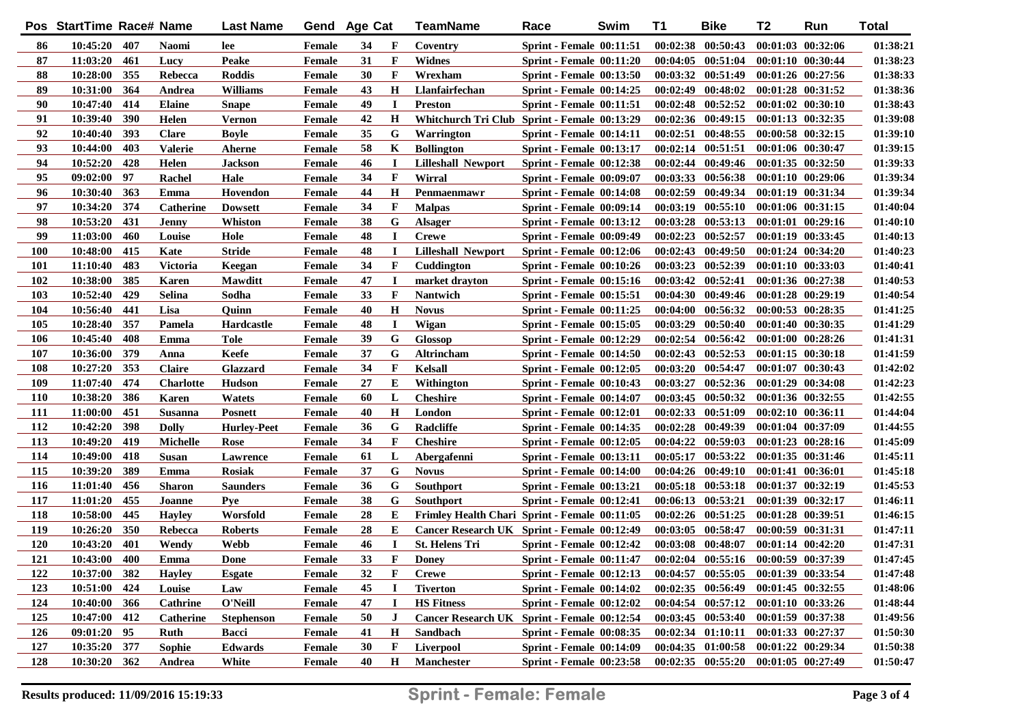| 10:45:20 407<br>$00:02:38$ $00:50:43$<br>$00:01:03$ $00:32:06$<br>86<br><b>Naomi</b><br>Female<br>34<br>F<br>Coventry<br><b>Sprint - Female 00:11:51</b><br>lee<br>31<br>$\mathbf{F}$<br>87<br>11:03:20<br>461<br>Peake<br>Widnes<br>00:04:05 00:51:04 00:01:10 00:30:44<br>Lucy<br><b>Female</b><br><b>Sprint - Female 00:11:20</b><br>88<br>10:28:00<br>355<br><b>Roddis</b><br>30<br>$\mathbf F$<br>$00:03:32$ $00:51:49$<br>Rebecca<br><b>Female</b><br>Wrexham<br><b>Sprint - Female 00:13:50</b><br>$00:01:26$ $00:27:56$<br>89<br>10:31:00<br>364<br><b>Williams</b><br>43<br>$\mathbf H$<br>Llanfairfechan<br>$00:02:49$ $00:48:02$<br>$00:01:28$ $00:31:52$<br>Andrea<br><b>Female</b><br><b>Sprint - Female 00:14:25</b><br>90<br>10:47:40<br>414<br>49<br>$00:02:48$ $00:52:52$<br>Elaine<br><b>I</b><br>$00:01:02$ $00:30:10$<br><b>Female</b><br><b>Preston</b><br><b>Sprint - Female 00:11:51</b><br>Snape<br>390<br>91<br>10:39:40<br>42<br>$\mathbf H$<br>$00:02:36$ $00:49:15$<br>Helen<br>Whitchurch Tri Club Sprint - Female 00:13:29<br>$00:01:13$ $00:32:35$<br>Vernon<br><b>Female</b><br>92<br>10:40:40<br>393<br><b>Clare</b><br>35<br>G<br>$00:02:51$ $00:48:55$<br>Bovle<br><b>Female</b><br>Warrington<br><b>Sprint - Female 00:14:11</b><br>$00:00:58$ $00:32:15$<br>93<br>10:44:00<br>403<br><b>Valerie</b><br>58<br>K<br>$00:02:14$ $00:51:51$<br>Aherne<br><b>Female</b><br><b>Bollington</b><br><b>Sprint - Female 00:13:17</b><br>00:01:06 00:30:47<br>94<br>10:52:20<br>428<br>Helen<br>46<br>00:02:44 00:49:46 00:01:35 00:32:50<br><b>Jackson</b><br><b>Female</b><br>$\mathbf I$<br><b>Lilleshall Newport</b><br>Sprint - Female 00:12:38<br>95<br>09:02:00<br>97<br>Rachel<br>Hale<br>34<br>$\mathbf F$<br>$00:03:33$ $00:56:38$<br><b>Female</b><br>Wirral<br><b>Sprint - Female 00:09:07</b><br>$00:01:10$ $00:29:06$<br>96<br>10:30:40<br>363<br>44<br>$\mathbf H$<br>$00:02:59$ $00:49:34$<br>Emma<br>Hovendon<br><b>Female</b><br>Penmaenmawr<br><b>Sprint - Female 00:14:08</b><br>00:01:19 00:31:34<br>97<br>374<br>34<br>$\mathbf F$<br>$00:03:19$ $00:55:10$<br>10:34:20<br><b>Malpas</b><br>$00:01:06$ $00:31:15$<br><b>Catherine</b><br><b>Dowsett</b><br>Female<br><b>Sprint - Female 00:09:14</b><br>G<br>98<br>10:53:20<br>431<br>Whiston<br>38<br>00:03:28<br>00:53:13<br>00:01:01 00:29:16<br><b>Jenny</b><br><b>Female</b><br><b>Alsager</b><br><b>Sprint - Female 00:13:12</b><br>99<br>11:03:00<br>460<br>Louise<br>Hole<br>48<br><b>Crewe</b><br>$00:02:23$ $00:52:57$<br>00:01:19 00:33:45<br><b>Female</b><br><b>I</b><br><b>Sprint - Female 00:09:49</b><br>Kate<br><b>100</b><br>10:48:00<br>415<br><b>Stride</b><br>48<br>$\bf{I}$<br><b>Lilleshall Newport</b><br>$00:02:43$ $00:49:50$<br>00:01:24 00:34:20<br><b>Female</b><br><b>Sprint - Female 00:12:06</b><br>34<br>101<br>11:10:40<br>483<br><b>Victoria</b><br>F<br>$00:03:23$ $00:52:39$<br>00:01:10 00:33:03<br>Keegan<br><b>Female</b><br>Cuddington<br>Sprint - Female 00:10:26<br>102<br>10:38:00<br>385<br><b>Karen</b><br>$00:03:42$ $00:52:41$<br><b>Mawditt</b><br><b>Female</b><br>47<br><b>I</b><br>market drayton<br><b>Sprint - Female 00:15:16</b><br>00:01:36 00:27:38<br><b>Selina</b><br>103<br>10:52:40<br>429<br>Sodha<br>33<br>$\mathbf F$<br>$00:04:30$ $00:49:46$<br><b>Female</b><br><b>Nantwich</b><br><b>Sprint - Female 00:15:51</b><br>00:01:28 00:29:19<br>104<br>10:56:40<br>441<br>Lisa<br>40<br>$\bf H$<br><b>Novus</b><br>00:04:00<br>00:56:32<br>00:00:53 00:28:35<br>Ouinn<br>Female<br><b>Sprint - Female 00:11:25</b><br>105<br>10:28:40<br>357<br>Pamela<br>$\bf{I}$<br>Wigan<br>00:03:29<br>00:50:40<br>00:01:40 00:30:35<br>Hardcastle<br>48<br><b>Sprint - Female 00:15:05</b><br>Female<br>408<br>106<br>10:45:40<br>Emma<br><b>Tole</b><br>39<br>G<br><b>Glossop</b><br>$00:02:54$ $00:56:42$<br>$00:01:00$ $00:28:26$<br>Female<br><b>Sprint - Female 00:12:29</b><br>379<br>107<br>10:36:00<br>Keefe<br>37<br>G<br>$00:02:43$ $00:52:53$<br>00:01:15 00:30:18<br>Altrincham<br>Sprint - Female 00:14:50<br>Anna<br>Female<br>34<br>108<br>10:27:20<br>353<br><b>Claire</b><br>F<br>Kelsall<br>00:03:20 00:54:47<br>00:01:07 00:30:43<br>Glazzard<br><b>Sprint - Female 00:12:05</b><br><b>Female</b><br>474<br>109<br>11:07:40<br><b>Charlotte</b><br>Hudson<br>27<br>E<br>Withington<br>00:03:27<br>00:52:36<br>00:01:29 00:34:08<br>Female<br><b>Sprint - Female 00:10:43</b><br>386<br><b>110</b><br>10:38:20<br>L<br>$00:03:45$ $00:50:32$<br>00:01:36 00:32:55<br><b>Karen</b><br><b>Watets</b><br>60<br><b>Cheshire</b><br>Female<br><b>Sprint - Female 00:14:07</b><br>111<br>11:00:00<br>451<br>$\mathbf H$<br>00:02:33 00:51:09<br>Susanna<br>40<br>London<br>$00:02:10$ $00:36:11$<br><b>Posnett</b><br><b>Sprint - Female 00:12:01</b><br>Female<br>398<br>G<br>112<br>10:42:20<br>36<br><b>Radcliffe</b><br>00:02:28<br>00:49:39<br><b>Dolly</b><br><b>Sprint - Female 00:14:35</b><br>00:01:04 00:37:09<br><b>Hurley-Peet</b><br>Female<br>$\mathbf{F}$<br>113<br>10:49:20<br>419<br><b>Michelle</b><br>34<br><b>Cheshire</b><br>00:04:22<br>00:59:03<br>00:01:23 00:28:16<br>Rose<br><b>Sprint - Female 00:12:05</b><br>Female<br>418<br>114<br>10:49:00<br><b>Susan</b><br>61<br>L<br>00:05:17 00:53:22<br>00:01:35 00:31:46<br>Abergafenni<br><b>Sprint - Female 00:13:11</b><br>Lawrence<br>Female<br>389<br>G<br>115<br>10:39:20<br>Emma<br>37<br><b>Novus</b><br>$00:04:26$ $00:49:10$<br>Rosiak<br>Sprint - Female 00:14:00<br>00:01:41 00:36:01<br>Female<br>G<br>116<br>456<br>36<br>00:05:18 00:53:18<br>11:01:40<br><b>Sharon</b><br>00:01:37 00:32:19<br>Saunders<br>Female<br><b>Southport</b><br><b>Sprint - Female 00:13:21</b><br>G<br>117<br>11:01:20<br>455<br>38<br>00:06:13 00:53:21<br>00:01:39 00:32:17<br>Joanne<br>Pve<br><b>Southport</b><br><b>Sprint - Female 00:12:41</b><br>Female<br>118<br>10:58:00<br>445<br>Е<br>$00:02:26$ $00:51:25$<br>00:01:28 00:39:51<br>28<br><b>Hayley</b><br>Worsfold<br><b>Frimley Health Chari Sprint - Female 00:11:05</b><br>Female<br>119<br>350<br>Е<br>$00:03:05$ $00:58:47$<br>00:00:59 00:31:31<br>10:26:20<br>Rebecca<br><b>Roberts</b><br>28<br>Cancer Research UK Sprint - Female 00:12:49<br>Female<br>120<br>10:43:20<br>401<br>46<br>00:03:08 00:48:07<br>Wendy<br>Webb<br>Female<br>$\bf{I}$<br><b>St. Helens Tri</b><br><b>Sprint - Female 00:12:42</b><br>$00:01:14$ $00:42:20$<br>121<br>400<br>F<br>10:43:00<br>Emma<br>33<br><b>Doney</b><br><b>Sprint - Female 00:11:47</b><br>00:02:04 00:55:16 00:00:59 00:37:39<br><b>Done</b><br>Female<br>122<br>10:37:00 382<br><b>Hayley</b><br><b>Esgate</b><br><b>Female</b><br>32<br>F<br><b>Crewe</b><br><b>Sprint - Female 00:12:13</b><br>00:04:57 00:55:05 00:01:39 00:33:54<br>123<br>424<br>10:51:00<br>Louise<br>Law<br><b>Female</b><br>45<br><b>Tiverton</b><br><b>Sprint - Female 00:14:02</b><br>$00:02:35$ $00:56:49$<br>$00:01:45$ $00:32:55$<br>124<br>10:40:00 366<br><b>HS Fitness</b><br>00:04:54 00:57:12 00:01:10 00:33:26<br><b>Cathrine</b><br>O'Neill<br><b>Female</b><br>47<br>I<br><b>Sprint - Female 00:12:02</b><br>125<br>10:47:00 412<br>Cancer Research UK Sprint - Female 00:12:54<br>$00:03:45$ $00:53:40$<br>$00:01:59$ $00:37:38$<br><b>Catherine</b><br><b>Stephenson</b><br><b>Female</b><br>50<br>$\bf J$<br>$09:01:20$ 95<br>126<br>Ruth<br><b>Female</b><br>H<br>Sandbach<br><b>Sprint - Female 00:08:35</b><br>$00:02:34$ $01:10:11$<br>00:01:33 00:27:37<br>Bacci<br>41<br>127<br>10:35:20 377<br>Sophie<br><b>Edwards</b><br><b>Female</b><br>30<br>F<br>Liverpool<br><b>Sprint - Female 00:14:09</b><br>$00:04:35$ $01:00:58$<br>$00:01:22$ $00:29:34$<br>128<br>10:30:20 362<br><b>Manchester</b><br><b>Sprint - Female 00:23:58</b><br>Andrea<br>White<br><b>Female</b><br>40<br>H<br>$00:02:35$ $00:55:20$ $00:01:05$ $00:27:49$ | Pos StartTime Race# Name |  | <b>Last Name</b> | Gend | <b>Age Cat</b> | TeamName | Race | Swim | <b>T1</b> | <b>Bike</b> | T <sub>2</sub> | Run | <b>Total</b> |
|------------------------------------------------------------------------------------------------------------------------------------------------------------------------------------------------------------------------------------------------------------------------------------------------------------------------------------------------------------------------------------------------------------------------------------------------------------------------------------------------------------------------------------------------------------------------------------------------------------------------------------------------------------------------------------------------------------------------------------------------------------------------------------------------------------------------------------------------------------------------------------------------------------------------------------------------------------------------------------------------------------------------------------------------------------------------------------------------------------------------------------------------------------------------------------------------------------------------------------------------------------------------------------------------------------------------------------------------------------------------------------------------------------------------------------------------------------------------------------------------------------------------------------------------------------------------------------------------------------------------------------------------------------------------------------------------------------------------------------------------------------------------------------------------------------------------------------------------------------------------------------------------------------------------------------------------------------------------------------------------------------------------------------------------------------------------------------------------------------------------------------------------------------------------------------------------------------------------------------------------------------------------------------------------------------------------------------------------------------------------------------------------------------------------------------------------------------------------------------------------------------------------------------------------------------------------------------------------------------------------------------------------------------------------------------------------------------------------------------------------------------------------------------------------------------------------------------------------------------------------------------------------------------------------------------------------------------------------------------------------------------------------------------------------------------------------------------------------------------------------------------------------------------------------------------------------------------------------------------------------------------------------------------------------------------------------------------------------------------------------------------------------------------------------------------------------------------------------------------------------------------------------------------------------------------------------------------------------------------------------------------------------------------------------------------------------------------------------------------------------------------------------------------------------------------------------------------------------------------------------------------------------------------------------------------------------------------------------------------------------------------------------------------------------------------------------------------------------------------------------------------------------------------------------------------------------------------------------------------------------------------------------------------------------------------------------------------------------------------------------------------------------------------------------------------------------------------------------------------------------------------------------------------------------------------------------------------------------------------------------------------------------------------------------------------------------------------------------------------------------------------------------------------------------------------------------------------------------------------------------------------------------------------------------------------------------------------------------------------------------------------------------------------------------------------------------------------------------------------------------------------------------------------------------------------------------------------------------------------------------------------------------------------------------------------------------------------------------------------------------------------------------------------------------------------------------------------------------------------------------------------------------------------------------------------------------------------------------------------------------------------------------------------------------------------------------------------------------------------------------------------------------------------------------------------------------------------------------------------------------------------------------------------------------------------------------------------------------------------------------------------------------------------------------------------------------------------------------------------------------------------------------------------------------------------------------------------------------------------------------------------------------------------------------------------------------------------------------------------------------------------------------------------------------------------------------------------------------------------------------------------------------------------------------------------------------------------------------------------------------------------------------------------------------------------------------------------------------------------------------------------------------------------------------------------------------------------------------------------------------------------------------------------------------------------------------------------------------------------------------------------------------------------------------------------------------------------------------------------------------------------------------------------------------------------------------------------------------------------------------------------------------------------------------------------------------------------------------------------------------------------------------------------------------------------------------------------------------------------------------------------------------------------------------------------------------------------------------------------------------------------------------------------------------------------------------------------------------------------------------------------------------------------------------------------------------------------------------------------------------------------------|--------------------------|--|------------------|------|----------------|----------|------|------|-----------|-------------|----------------|-----|--------------|
|                                                                                                                                                                                                                                                                                                                                                                                                                                                                                                                                                                                                                                                                                                                                                                                                                                                                                                                                                                                                                                                                                                                                                                                                                                                                                                                                                                                                                                                                                                                                                                                                                                                                                                                                                                                                                                                                                                                                                                                                                                                                                                                                                                                                                                                                                                                                                                                                                                                                                                                                                                                                                                                                                                                                                                                                                                                                                                                                                                                                                                                                                                                                                                                                                                                                                                                                                                                                                                                                                                                                                                                                                                                                                                                                                                                                                                                                                                                                                                                                                                                                                                                                                                                                                                                                                                                                                                                                                                                                                                                                                                                                                                                                                                                                                                                                                                                                                                                                                                                                                                                                                                                                                                                                                                                                                                                                                                                                                                                                                                                                                                                                                                                                                                                                                                                                                                                                                                                                                                                                                                                                                                                                                                                                                                                                                                                                                                                                                                                                                                                                                                                                                                                                                                                                                                                                                                                                                                                                                                                                                                                                                                                                                                                                                                                                                                                                                                                                                                                                                                                                                                                                                                                                                                                                                                                                                                                                                          |                          |  |                  |      |                |          |      |      |           |             |                |     | 01:38:21     |
|                                                                                                                                                                                                                                                                                                                                                                                                                                                                                                                                                                                                                                                                                                                                                                                                                                                                                                                                                                                                                                                                                                                                                                                                                                                                                                                                                                                                                                                                                                                                                                                                                                                                                                                                                                                                                                                                                                                                                                                                                                                                                                                                                                                                                                                                                                                                                                                                                                                                                                                                                                                                                                                                                                                                                                                                                                                                                                                                                                                                                                                                                                                                                                                                                                                                                                                                                                                                                                                                                                                                                                                                                                                                                                                                                                                                                                                                                                                                                                                                                                                                                                                                                                                                                                                                                                                                                                                                                                                                                                                                                                                                                                                                                                                                                                                                                                                                                                                                                                                                                                                                                                                                                                                                                                                                                                                                                                                                                                                                                                                                                                                                                                                                                                                                                                                                                                                                                                                                                                                                                                                                                                                                                                                                                                                                                                                                                                                                                                                                                                                                                                                                                                                                                                                                                                                                                                                                                                                                                                                                                                                                                                                                                                                                                                                                                                                                                                                                                                                                                                                                                                                                                                                                                                                                                                                                                                                                                          |                          |  |                  |      |                |          |      |      |           |             |                |     | 01:38:23     |
|                                                                                                                                                                                                                                                                                                                                                                                                                                                                                                                                                                                                                                                                                                                                                                                                                                                                                                                                                                                                                                                                                                                                                                                                                                                                                                                                                                                                                                                                                                                                                                                                                                                                                                                                                                                                                                                                                                                                                                                                                                                                                                                                                                                                                                                                                                                                                                                                                                                                                                                                                                                                                                                                                                                                                                                                                                                                                                                                                                                                                                                                                                                                                                                                                                                                                                                                                                                                                                                                                                                                                                                                                                                                                                                                                                                                                                                                                                                                                                                                                                                                                                                                                                                                                                                                                                                                                                                                                                                                                                                                                                                                                                                                                                                                                                                                                                                                                                                                                                                                                                                                                                                                                                                                                                                                                                                                                                                                                                                                                                                                                                                                                                                                                                                                                                                                                                                                                                                                                                                                                                                                                                                                                                                                                                                                                                                                                                                                                                                                                                                                                                                                                                                                                                                                                                                                                                                                                                                                                                                                                                                                                                                                                                                                                                                                                                                                                                                                                                                                                                                                                                                                                                                                                                                                                                                                                                                                                          |                          |  |                  |      |                |          |      |      |           |             |                |     | 01:38:33     |
|                                                                                                                                                                                                                                                                                                                                                                                                                                                                                                                                                                                                                                                                                                                                                                                                                                                                                                                                                                                                                                                                                                                                                                                                                                                                                                                                                                                                                                                                                                                                                                                                                                                                                                                                                                                                                                                                                                                                                                                                                                                                                                                                                                                                                                                                                                                                                                                                                                                                                                                                                                                                                                                                                                                                                                                                                                                                                                                                                                                                                                                                                                                                                                                                                                                                                                                                                                                                                                                                                                                                                                                                                                                                                                                                                                                                                                                                                                                                                                                                                                                                                                                                                                                                                                                                                                                                                                                                                                                                                                                                                                                                                                                                                                                                                                                                                                                                                                                                                                                                                                                                                                                                                                                                                                                                                                                                                                                                                                                                                                                                                                                                                                                                                                                                                                                                                                                                                                                                                                                                                                                                                                                                                                                                                                                                                                                                                                                                                                                                                                                                                                                                                                                                                                                                                                                                                                                                                                                                                                                                                                                                                                                                                                                                                                                                                                                                                                                                                                                                                                                                                                                                                                                                                                                                                                                                                                                                                          |                          |  |                  |      |                |          |      |      |           |             |                |     | 01:38:36     |
|                                                                                                                                                                                                                                                                                                                                                                                                                                                                                                                                                                                                                                                                                                                                                                                                                                                                                                                                                                                                                                                                                                                                                                                                                                                                                                                                                                                                                                                                                                                                                                                                                                                                                                                                                                                                                                                                                                                                                                                                                                                                                                                                                                                                                                                                                                                                                                                                                                                                                                                                                                                                                                                                                                                                                                                                                                                                                                                                                                                                                                                                                                                                                                                                                                                                                                                                                                                                                                                                                                                                                                                                                                                                                                                                                                                                                                                                                                                                                                                                                                                                                                                                                                                                                                                                                                                                                                                                                                                                                                                                                                                                                                                                                                                                                                                                                                                                                                                                                                                                                                                                                                                                                                                                                                                                                                                                                                                                                                                                                                                                                                                                                                                                                                                                                                                                                                                                                                                                                                                                                                                                                                                                                                                                                                                                                                                                                                                                                                                                                                                                                                                                                                                                                                                                                                                                                                                                                                                                                                                                                                                                                                                                                                                                                                                                                                                                                                                                                                                                                                                                                                                                                                                                                                                                                                                                                                                                                          |                          |  |                  |      |                |          |      |      |           |             |                |     | 01:38:43     |
|                                                                                                                                                                                                                                                                                                                                                                                                                                                                                                                                                                                                                                                                                                                                                                                                                                                                                                                                                                                                                                                                                                                                                                                                                                                                                                                                                                                                                                                                                                                                                                                                                                                                                                                                                                                                                                                                                                                                                                                                                                                                                                                                                                                                                                                                                                                                                                                                                                                                                                                                                                                                                                                                                                                                                                                                                                                                                                                                                                                                                                                                                                                                                                                                                                                                                                                                                                                                                                                                                                                                                                                                                                                                                                                                                                                                                                                                                                                                                                                                                                                                                                                                                                                                                                                                                                                                                                                                                                                                                                                                                                                                                                                                                                                                                                                                                                                                                                                                                                                                                                                                                                                                                                                                                                                                                                                                                                                                                                                                                                                                                                                                                                                                                                                                                                                                                                                                                                                                                                                                                                                                                                                                                                                                                                                                                                                                                                                                                                                                                                                                                                                                                                                                                                                                                                                                                                                                                                                                                                                                                                                                                                                                                                                                                                                                                                                                                                                                                                                                                                                                                                                                                                                                                                                                                                                                                                                                                          |                          |  |                  |      |                |          |      |      |           |             |                |     | 01:39:08     |
|                                                                                                                                                                                                                                                                                                                                                                                                                                                                                                                                                                                                                                                                                                                                                                                                                                                                                                                                                                                                                                                                                                                                                                                                                                                                                                                                                                                                                                                                                                                                                                                                                                                                                                                                                                                                                                                                                                                                                                                                                                                                                                                                                                                                                                                                                                                                                                                                                                                                                                                                                                                                                                                                                                                                                                                                                                                                                                                                                                                                                                                                                                                                                                                                                                                                                                                                                                                                                                                                                                                                                                                                                                                                                                                                                                                                                                                                                                                                                                                                                                                                                                                                                                                                                                                                                                                                                                                                                                                                                                                                                                                                                                                                                                                                                                                                                                                                                                                                                                                                                                                                                                                                                                                                                                                                                                                                                                                                                                                                                                                                                                                                                                                                                                                                                                                                                                                                                                                                                                                                                                                                                                                                                                                                                                                                                                                                                                                                                                                                                                                                                                                                                                                                                                                                                                                                                                                                                                                                                                                                                                                                                                                                                                                                                                                                                                                                                                                                                                                                                                                                                                                                                                                                                                                                                                                                                                                                                          |                          |  |                  |      |                |          |      |      |           |             |                |     | 01:39:10     |
|                                                                                                                                                                                                                                                                                                                                                                                                                                                                                                                                                                                                                                                                                                                                                                                                                                                                                                                                                                                                                                                                                                                                                                                                                                                                                                                                                                                                                                                                                                                                                                                                                                                                                                                                                                                                                                                                                                                                                                                                                                                                                                                                                                                                                                                                                                                                                                                                                                                                                                                                                                                                                                                                                                                                                                                                                                                                                                                                                                                                                                                                                                                                                                                                                                                                                                                                                                                                                                                                                                                                                                                                                                                                                                                                                                                                                                                                                                                                                                                                                                                                                                                                                                                                                                                                                                                                                                                                                                                                                                                                                                                                                                                                                                                                                                                                                                                                                                                                                                                                                                                                                                                                                                                                                                                                                                                                                                                                                                                                                                                                                                                                                                                                                                                                                                                                                                                                                                                                                                                                                                                                                                                                                                                                                                                                                                                                                                                                                                                                                                                                                                                                                                                                                                                                                                                                                                                                                                                                                                                                                                                                                                                                                                                                                                                                                                                                                                                                                                                                                                                                                                                                                                                                                                                                                                                                                                                                                          |                          |  |                  |      |                |          |      |      |           |             |                |     | 01:39:15     |
|                                                                                                                                                                                                                                                                                                                                                                                                                                                                                                                                                                                                                                                                                                                                                                                                                                                                                                                                                                                                                                                                                                                                                                                                                                                                                                                                                                                                                                                                                                                                                                                                                                                                                                                                                                                                                                                                                                                                                                                                                                                                                                                                                                                                                                                                                                                                                                                                                                                                                                                                                                                                                                                                                                                                                                                                                                                                                                                                                                                                                                                                                                                                                                                                                                                                                                                                                                                                                                                                                                                                                                                                                                                                                                                                                                                                                                                                                                                                                                                                                                                                                                                                                                                                                                                                                                                                                                                                                                                                                                                                                                                                                                                                                                                                                                                                                                                                                                                                                                                                                                                                                                                                                                                                                                                                                                                                                                                                                                                                                                                                                                                                                                                                                                                                                                                                                                                                                                                                                                                                                                                                                                                                                                                                                                                                                                                                                                                                                                                                                                                                                                                                                                                                                                                                                                                                                                                                                                                                                                                                                                                                                                                                                                                                                                                                                                                                                                                                                                                                                                                                                                                                                                                                                                                                                                                                                                                                                          |                          |  |                  |      |                |          |      |      |           |             |                |     | 01:39:33     |
|                                                                                                                                                                                                                                                                                                                                                                                                                                                                                                                                                                                                                                                                                                                                                                                                                                                                                                                                                                                                                                                                                                                                                                                                                                                                                                                                                                                                                                                                                                                                                                                                                                                                                                                                                                                                                                                                                                                                                                                                                                                                                                                                                                                                                                                                                                                                                                                                                                                                                                                                                                                                                                                                                                                                                                                                                                                                                                                                                                                                                                                                                                                                                                                                                                                                                                                                                                                                                                                                                                                                                                                                                                                                                                                                                                                                                                                                                                                                                                                                                                                                                                                                                                                                                                                                                                                                                                                                                                                                                                                                                                                                                                                                                                                                                                                                                                                                                                                                                                                                                                                                                                                                                                                                                                                                                                                                                                                                                                                                                                                                                                                                                                                                                                                                                                                                                                                                                                                                                                                                                                                                                                                                                                                                                                                                                                                                                                                                                                                                                                                                                                                                                                                                                                                                                                                                                                                                                                                                                                                                                                                                                                                                                                                                                                                                                                                                                                                                                                                                                                                                                                                                                                                                                                                                                                                                                                                                                          |                          |  |                  |      |                |          |      |      |           |             |                |     | 01:39:34     |
|                                                                                                                                                                                                                                                                                                                                                                                                                                                                                                                                                                                                                                                                                                                                                                                                                                                                                                                                                                                                                                                                                                                                                                                                                                                                                                                                                                                                                                                                                                                                                                                                                                                                                                                                                                                                                                                                                                                                                                                                                                                                                                                                                                                                                                                                                                                                                                                                                                                                                                                                                                                                                                                                                                                                                                                                                                                                                                                                                                                                                                                                                                                                                                                                                                                                                                                                                                                                                                                                                                                                                                                                                                                                                                                                                                                                                                                                                                                                                                                                                                                                                                                                                                                                                                                                                                                                                                                                                                                                                                                                                                                                                                                                                                                                                                                                                                                                                                                                                                                                                                                                                                                                                                                                                                                                                                                                                                                                                                                                                                                                                                                                                                                                                                                                                                                                                                                                                                                                                                                                                                                                                                                                                                                                                                                                                                                                                                                                                                                                                                                                                                                                                                                                                                                                                                                                                                                                                                                                                                                                                                                                                                                                                                                                                                                                                                                                                                                                                                                                                                                                                                                                                                                                                                                                                                                                                                                                                          |                          |  |                  |      |                |          |      |      |           |             |                |     | 01:39:34     |
|                                                                                                                                                                                                                                                                                                                                                                                                                                                                                                                                                                                                                                                                                                                                                                                                                                                                                                                                                                                                                                                                                                                                                                                                                                                                                                                                                                                                                                                                                                                                                                                                                                                                                                                                                                                                                                                                                                                                                                                                                                                                                                                                                                                                                                                                                                                                                                                                                                                                                                                                                                                                                                                                                                                                                                                                                                                                                                                                                                                                                                                                                                                                                                                                                                                                                                                                                                                                                                                                                                                                                                                                                                                                                                                                                                                                                                                                                                                                                                                                                                                                                                                                                                                                                                                                                                                                                                                                                                                                                                                                                                                                                                                                                                                                                                                                                                                                                                                                                                                                                                                                                                                                                                                                                                                                                                                                                                                                                                                                                                                                                                                                                                                                                                                                                                                                                                                                                                                                                                                                                                                                                                                                                                                                                                                                                                                                                                                                                                                                                                                                                                                                                                                                                                                                                                                                                                                                                                                                                                                                                                                                                                                                                                                                                                                                                                                                                                                                                                                                                                                                                                                                                                                                                                                                                                                                                                                                                          |                          |  |                  |      |                |          |      |      |           |             |                |     | 01:40:04     |
|                                                                                                                                                                                                                                                                                                                                                                                                                                                                                                                                                                                                                                                                                                                                                                                                                                                                                                                                                                                                                                                                                                                                                                                                                                                                                                                                                                                                                                                                                                                                                                                                                                                                                                                                                                                                                                                                                                                                                                                                                                                                                                                                                                                                                                                                                                                                                                                                                                                                                                                                                                                                                                                                                                                                                                                                                                                                                                                                                                                                                                                                                                                                                                                                                                                                                                                                                                                                                                                                                                                                                                                                                                                                                                                                                                                                                                                                                                                                                                                                                                                                                                                                                                                                                                                                                                                                                                                                                                                                                                                                                                                                                                                                                                                                                                                                                                                                                                                                                                                                                                                                                                                                                                                                                                                                                                                                                                                                                                                                                                                                                                                                                                                                                                                                                                                                                                                                                                                                                                                                                                                                                                                                                                                                                                                                                                                                                                                                                                                                                                                                                                                                                                                                                                                                                                                                                                                                                                                                                                                                                                                                                                                                                                                                                                                                                                                                                                                                                                                                                                                                                                                                                                                                                                                                                                                                                                                                                          |                          |  |                  |      |                |          |      |      |           |             |                |     | 01:40:10     |
|                                                                                                                                                                                                                                                                                                                                                                                                                                                                                                                                                                                                                                                                                                                                                                                                                                                                                                                                                                                                                                                                                                                                                                                                                                                                                                                                                                                                                                                                                                                                                                                                                                                                                                                                                                                                                                                                                                                                                                                                                                                                                                                                                                                                                                                                                                                                                                                                                                                                                                                                                                                                                                                                                                                                                                                                                                                                                                                                                                                                                                                                                                                                                                                                                                                                                                                                                                                                                                                                                                                                                                                                                                                                                                                                                                                                                                                                                                                                                                                                                                                                                                                                                                                                                                                                                                                                                                                                                                                                                                                                                                                                                                                                                                                                                                                                                                                                                                                                                                                                                                                                                                                                                                                                                                                                                                                                                                                                                                                                                                                                                                                                                                                                                                                                                                                                                                                                                                                                                                                                                                                                                                                                                                                                                                                                                                                                                                                                                                                                                                                                                                                                                                                                                                                                                                                                                                                                                                                                                                                                                                                                                                                                                                                                                                                                                                                                                                                                                                                                                                                                                                                                                                                                                                                                                                                                                                                                                          |                          |  |                  |      |                |          |      |      |           |             |                |     | 01:40:13     |
|                                                                                                                                                                                                                                                                                                                                                                                                                                                                                                                                                                                                                                                                                                                                                                                                                                                                                                                                                                                                                                                                                                                                                                                                                                                                                                                                                                                                                                                                                                                                                                                                                                                                                                                                                                                                                                                                                                                                                                                                                                                                                                                                                                                                                                                                                                                                                                                                                                                                                                                                                                                                                                                                                                                                                                                                                                                                                                                                                                                                                                                                                                                                                                                                                                                                                                                                                                                                                                                                                                                                                                                                                                                                                                                                                                                                                                                                                                                                                                                                                                                                                                                                                                                                                                                                                                                                                                                                                                                                                                                                                                                                                                                                                                                                                                                                                                                                                                                                                                                                                                                                                                                                                                                                                                                                                                                                                                                                                                                                                                                                                                                                                                                                                                                                                                                                                                                                                                                                                                                                                                                                                                                                                                                                                                                                                                                                                                                                                                                                                                                                                                                                                                                                                                                                                                                                                                                                                                                                                                                                                                                                                                                                                                                                                                                                                                                                                                                                                                                                                                                                                                                                                                                                                                                                                                                                                                                                                          |                          |  |                  |      |                |          |      |      |           |             |                |     | 01:40:23     |
|                                                                                                                                                                                                                                                                                                                                                                                                                                                                                                                                                                                                                                                                                                                                                                                                                                                                                                                                                                                                                                                                                                                                                                                                                                                                                                                                                                                                                                                                                                                                                                                                                                                                                                                                                                                                                                                                                                                                                                                                                                                                                                                                                                                                                                                                                                                                                                                                                                                                                                                                                                                                                                                                                                                                                                                                                                                                                                                                                                                                                                                                                                                                                                                                                                                                                                                                                                                                                                                                                                                                                                                                                                                                                                                                                                                                                                                                                                                                                                                                                                                                                                                                                                                                                                                                                                                                                                                                                                                                                                                                                                                                                                                                                                                                                                                                                                                                                                                                                                                                                                                                                                                                                                                                                                                                                                                                                                                                                                                                                                                                                                                                                                                                                                                                                                                                                                                                                                                                                                                                                                                                                                                                                                                                                                                                                                                                                                                                                                                                                                                                                                                                                                                                                                                                                                                                                                                                                                                                                                                                                                                                                                                                                                                                                                                                                                                                                                                                                                                                                                                                                                                                                                                                                                                                                                                                                                                                                          |                          |  |                  |      |                |          |      |      |           |             |                |     | 01:40:41     |
|                                                                                                                                                                                                                                                                                                                                                                                                                                                                                                                                                                                                                                                                                                                                                                                                                                                                                                                                                                                                                                                                                                                                                                                                                                                                                                                                                                                                                                                                                                                                                                                                                                                                                                                                                                                                                                                                                                                                                                                                                                                                                                                                                                                                                                                                                                                                                                                                                                                                                                                                                                                                                                                                                                                                                                                                                                                                                                                                                                                                                                                                                                                                                                                                                                                                                                                                                                                                                                                                                                                                                                                                                                                                                                                                                                                                                                                                                                                                                                                                                                                                                                                                                                                                                                                                                                                                                                                                                                                                                                                                                                                                                                                                                                                                                                                                                                                                                                                                                                                                                                                                                                                                                                                                                                                                                                                                                                                                                                                                                                                                                                                                                                                                                                                                                                                                                                                                                                                                                                                                                                                                                                                                                                                                                                                                                                                                                                                                                                                                                                                                                                                                                                                                                                                                                                                                                                                                                                                                                                                                                                                                                                                                                                                                                                                                                                                                                                                                                                                                                                                                                                                                                                                                                                                                                                                                                                                                                          |                          |  |                  |      |                |          |      |      |           |             |                |     | 01:40:53     |
|                                                                                                                                                                                                                                                                                                                                                                                                                                                                                                                                                                                                                                                                                                                                                                                                                                                                                                                                                                                                                                                                                                                                                                                                                                                                                                                                                                                                                                                                                                                                                                                                                                                                                                                                                                                                                                                                                                                                                                                                                                                                                                                                                                                                                                                                                                                                                                                                                                                                                                                                                                                                                                                                                                                                                                                                                                                                                                                                                                                                                                                                                                                                                                                                                                                                                                                                                                                                                                                                                                                                                                                                                                                                                                                                                                                                                                                                                                                                                                                                                                                                                                                                                                                                                                                                                                                                                                                                                                                                                                                                                                                                                                                                                                                                                                                                                                                                                                                                                                                                                                                                                                                                                                                                                                                                                                                                                                                                                                                                                                                                                                                                                                                                                                                                                                                                                                                                                                                                                                                                                                                                                                                                                                                                                                                                                                                                                                                                                                                                                                                                                                                                                                                                                                                                                                                                                                                                                                                                                                                                                                                                                                                                                                                                                                                                                                                                                                                                                                                                                                                                                                                                                                                                                                                                                                                                                                                                                          |                          |  |                  |      |                |          |      |      |           |             |                |     | 01:40:54     |
|                                                                                                                                                                                                                                                                                                                                                                                                                                                                                                                                                                                                                                                                                                                                                                                                                                                                                                                                                                                                                                                                                                                                                                                                                                                                                                                                                                                                                                                                                                                                                                                                                                                                                                                                                                                                                                                                                                                                                                                                                                                                                                                                                                                                                                                                                                                                                                                                                                                                                                                                                                                                                                                                                                                                                                                                                                                                                                                                                                                                                                                                                                                                                                                                                                                                                                                                                                                                                                                                                                                                                                                                                                                                                                                                                                                                                                                                                                                                                                                                                                                                                                                                                                                                                                                                                                                                                                                                                                                                                                                                                                                                                                                                                                                                                                                                                                                                                                                                                                                                                                                                                                                                                                                                                                                                                                                                                                                                                                                                                                                                                                                                                                                                                                                                                                                                                                                                                                                                                                                                                                                                                                                                                                                                                                                                                                                                                                                                                                                                                                                                                                                                                                                                                                                                                                                                                                                                                                                                                                                                                                                                                                                                                                                                                                                                                                                                                                                                                                                                                                                                                                                                                                                                                                                                                                                                                                                                                          |                          |  |                  |      |                |          |      |      |           |             |                |     | 01:41:25     |
|                                                                                                                                                                                                                                                                                                                                                                                                                                                                                                                                                                                                                                                                                                                                                                                                                                                                                                                                                                                                                                                                                                                                                                                                                                                                                                                                                                                                                                                                                                                                                                                                                                                                                                                                                                                                                                                                                                                                                                                                                                                                                                                                                                                                                                                                                                                                                                                                                                                                                                                                                                                                                                                                                                                                                                                                                                                                                                                                                                                                                                                                                                                                                                                                                                                                                                                                                                                                                                                                                                                                                                                                                                                                                                                                                                                                                                                                                                                                                                                                                                                                                                                                                                                                                                                                                                                                                                                                                                                                                                                                                                                                                                                                                                                                                                                                                                                                                                                                                                                                                                                                                                                                                                                                                                                                                                                                                                                                                                                                                                                                                                                                                                                                                                                                                                                                                                                                                                                                                                                                                                                                                                                                                                                                                                                                                                                                                                                                                                                                                                                                                                                                                                                                                                                                                                                                                                                                                                                                                                                                                                                                                                                                                                                                                                                                                                                                                                                                                                                                                                                                                                                                                                                                                                                                                                                                                                                                                          |                          |  |                  |      |                |          |      |      |           |             |                |     | 01:41:29     |
|                                                                                                                                                                                                                                                                                                                                                                                                                                                                                                                                                                                                                                                                                                                                                                                                                                                                                                                                                                                                                                                                                                                                                                                                                                                                                                                                                                                                                                                                                                                                                                                                                                                                                                                                                                                                                                                                                                                                                                                                                                                                                                                                                                                                                                                                                                                                                                                                                                                                                                                                                                                                                                                                                                                                                                                                                                                                                                                                                                                                                                                                                                                                                                                                                                                                                                                                                                                                                                                                                                                                                                                                                                                                                                                                                                                                                                                                                                                                                                                                                                                                                                                                                                                                                                                                                                                                                                                                                                                                                                                                                                                                                                                                                                                                                                                                                                                                                                                                                                                                                                                                                                                                                                                                                                                                                                                                                                                                                                                                                                                                                                                                                                                                                                                                                                                                                                                                                                                                                                                                                                                                                                                                                                                                                                                                                                                                                                                                                                                                                                                                                                                                                                                                                                                                                                                                                                                                                                                                                                                                                                                                                                                                                                                                                                                                                                                                                                                                                                                                                                                                                                                                                                                                                                                                                                                                                                                                                          |                          |  |                  |      |                |          |      |      |           |             |                |     | 01:41:31     |
|                                                                                                                                                                                                                                                                                                                                                                                                                                                                                                                                                                                                                                                                                                                                                                                                                                                                                                                                                                                                                                                                                                                                                                                                                                                                                                                                                                                                                                                                                                                                                                                                                                                                                                                                                                                                                                                                                                                                                                                                                                                                                                                                                                                                                                                                                                                                                                                                                                                                                                                                                                                                                                                                                                                                                                                                                                                                                                                                                                                                                                                                                                                                                                                                                                                                                                                                                                                                                                                                                                                                                                                                                                                                                                                                                                                                                                                                                                                                                                                                                                                                                                                                                                                                                                                                                                                                                                                                                                                                                                                                                                                                                                                                                                                                                                                                                                                                                                                                                                                                                                                                                                                                                                                                                                                                                                                                                                                                                                                                                                                                                                                                                                                                                                                                                                                                                                                                                                                                                                                                                                                                                                                                                                                                                                                                                                                                                                                                                                                                                                                                                                                                                                                                                                                                                                                                                                                                                                                                                                                                                                                                                                                                                                                                                                                                                                                                                                                                                                                                                                                                                                                                                                                                                                                                                                                                                                                                                          |                          |  |                  |      |                |          |      |      |           |             |                |     | 01:41:59     |
|                                                                                                                                                                                                                                                                                                                                                                                                                                                                                                                                                                                                                                                                                                                                                                                                                                                                                                                                                                                                                                                                                                                                                                                                                                                                                                                                                                                                                                                                                                                                                                                                                                                                                                                                                                                                                                                                                                                                                                                                                                                                                                                                                                                                                                                                                                                                                                                                                                                                                                                                                                                                                                                                                                                                                                                                                                                                                                                                                                                                                                                                                                                                                                                                                                                                                                                                                                                                                                                                                                                                                                                                                                                                                                                                                                                                                                                                                                                                                                                                                                                                                                                                                                                                                                                                                                                                                                                                                                                                                                                                                                                                                                                                                                                                                                                                                                                                                                                                                                                                                                                                                                                                                                                                                                                                                                                                                                                                                                                                                                                                                                                                                                                                                                                                                                                                                                                                                                                                                                                                                                                                                                                                                                                                                                                                                                                                                                                                                                                                                                                                                                                                                                                                                                                                                                                                                                                                                                                                                                                                                                                                                                                                                                                                                                                                                                                                                                                                                                                                                                                                                                                                                                                                                                                                                                                                                                                                                          |                          |  |                  |      |                |          |      |      |           |             |                |     | 01:42:02     |
|                                                                                                                                                                                                                                                                                                                                                                                                                                                                                                                                                                                                                                                                                                                                                                                                                                                                                                                                                                                                                                                                                                                                                                                                                                                                                                                                                                                                                                                                                                                                                                                                                                                                                                                                                                                                                                                                                                                                                                                                                                                                                                                                                                                                                                                                                                                                                                                                                                                                                                                                                                                                                                                                                                                                                                                                                                                                                                                                                                                                                                                                                                                                                                                                                                                                                                                                                                                                                                                                                                                                                                                                                                                                                                                                                                                                                                                                                                                                                                                                                                                                                                                                                                                                                                                                                                                                                                                                                                                                                                                                                                                                                                                                                                                                                                                                                                                                                                                                                                                                                                                                                                                                                                                                                                                                                                                                                                                                                                                                                                                                                                                                                                                                                                                                                                                                                                                                                                                                                                                                                                                                                                                                                                                                                                                                                                                                                                                                                                                                                                                                                                                                                                                                                                                                                                                                                                                                                                                                                                                                                                                                                                                                                                                                                                                                                                                                                                                                                                                                                                                                                                                                                                                                                                                                                                                                                                                                                          |                          |  |                  |      |                |          |      |      |           |             |                |     | 01:42:23     |
|                                                                                                                                                                                                                                                                                                                                                                                                                                                                                                                                                                                                                                                                                                                                                                                                                                                                                                                                                                                                                                                                                                                                                                                                                                                                                                                                                                                                                                                                                                                                                                                                                                                                                                                                                                                                                                                                                                                                                                                                                                                                                                                                                                                                                                                                                                                                                                                                                                                                                                                                                                                                                                                                                                                                                                                                                                                                                                                                                                                                                                                                                                                                                                                                                                                                                                                                                                                                                                                                                                                                                                                                                                                                                                                                                                                                                                                                                                                                                                                                                                                                                                                                                                                                                                                                                                                                                                                                                                                                                                                                                                                                                                                                                                                                                                                                                                                                                                                                                                                                                                                                                                                                                                                                                                                                                                                                                                                                                                                                                                                                                                                                                                                                                                                                                                                                                                                                                                                                                                                                                                                                                                                                                                                                                                                                                                                                                                                                                                                                                                                                                                                                                                                                                                                                                                                                                                                                                                                                                                                                                                                                                                                                                                                                                                                                                                                                                                                                                                                                                                                                                                                                                                                                                                                                                                                                                                                                                          |                          |  |                  |      |                |          |      |      |           |             |                |     | 01:42:55     |
|                                                                                                                                                                                                                                                                                                                                                                                                                                                                                                                                                                                                                                                                                                                                                                                                                                                                                                                                                                                                                                                                                                                                                                                                                                                                                                                                                                                                                                                                                                                                                                                                                                                                                                                                                                                                                                                                                                                                                                                                                                                                                                                                                                                                                                                                                                                                                                                                                                                                                                                                                                                                                                                                                                                                                                                                                                                                                                                                                                                                                                                                                                                                                                                                                                                                                                                                                                                                                                                                                                                                                                                                                                                                                                                                                                                                                                                                                                                                                                                                                                                                                                                                                                                                                                                                                                                                                                                                                                                                                                                                                                                                                                                                                                                                                                                                                                                                                                                                                                                                                                                                                                                                                                                                                                                                                                                                                                                                                                                                                                                                                                                                                                                                                                                                                                                                                                                                                                                                                                                                                                                                                                                                                                                                                                                                                                                                                                                                                                                                                                                                                                                                                                                                                                                                                                                                                                                                                                                                                                                                                                                                                                                                                                                                                                                                                                                                                                                                                                                                                                                                                                                                                                                                                                                                                                                                                                                                                          |                          |  |                  |      |                |          |      |      |           |             |                |     | 01:44:04     |
|                                                                                                                                                                                                                                                                                                                                                                                                                                                                                                                                                                                                                                                                                                                                                                                                                                                                                                                                                                                                                                                                                                                                                                                                                                                                                                                                                                                                                                                                                                                                                                                                                                                                                                                                                                                                                                                                                                                                                                                                                                                                                                                                                                                                                                                                                                                                                                                                                                                                                                                                                                                                                                                                                                                                                                                                                                                                                                                                                                                                                                                                                                                                                                                                                                                                                                                                                                                                                                                                                                                                                                                                                                                                                                                                                                                                                                                                                                                                                                                                                                                                                                                                                                                                                                                                                                                                                                                                                                                                                                                                                                                                                                                                                                                                                                                                                                                                                                                                                                                                                                                                                                                                                                                                                                                                                                                                                                                                                                                                                                                                                                                                                                                                                                                                                                                                                                                                                                                                                                                                                                                                                                                                                                                                                                                                                                                                                                                                                                                                                                                                                                                                                                                                                                                                                                                                                                                                                                                                                                                                                                                                                                                                                                                                                                                                                                                                                                                                                                                                                                                                                                                                                                                                                                                                                                                                                                                                                          |                          |  |                  |      |                |          |      |      |           |             |                |     | 01:44:55     |
|                                                                                                                                                                                                                                                                                                                                                                                                                                                                                                                                                                                                                                                                                                                                                                                                                                                                                                                                                                                                                                                                                                                                                                                                                                                                                                                                                                                                                                                                                                                                                                                                                                                                                                                                                                                                                                                                                                                                                                                                                                                                                                                                                                                                                                                                                                                                                                                                                                                                                                                                                                                                                                                                                                                                                                                                                                                                                                                                                                                                                                                                                                                                                                                                                                                                                                                                                                                                                                                                                                                                                                                                                                                                                                                                                                                                                                                                                                                                                                                                                                                                                                                                                                                                                                                                                                                                                                                                                                                                                                                                                                                                                                                                                                                                                                                                                                                                                                                                                                                                                                                                                                                                                                                                                                                                                                                                                                                                                                                                                                                                                                                                                                                                                                                                                                                                                                                                                                                                                                                                                                                                                                                                                                                                                                                                                                                                                                                                                                                                                                                                                                                                                                                                                                                                                                                                                                                                                                                                                                                                                                                                                                                                                                                                                                                                                                                                                                                                                                                                                                                                                                                                                                                                                                                                                                                                                                                                                          |                          |  |                  |      |                |          |      |      |           |             |                |     | 01:45:09     |
|                                                                                                                                                                                                                                                                                                                                                                                                                                                                                                                                                                                                                                                                                                                                                                                                                                                                                                                                                                                                                                                                                                                                                                                                                                                                                                                                                                                                                                                                                                                                                                                                                                                                                                                                                                                                                                                                                                                                                                                                                                                                                                                                                                                                                                                                                                                                                                                                                                                                                                                                                                                                                                                                                                                                                                                                                                                                                                                                                                                                                                                                                                                                                                                                                                                                                                                                                                                                                                                                                                                                                                                                                                                                                                                                                                                                                                                                                                                                                                                                                                                                                                                                                                                                                                                                                                                                                                                                                                                                                                                                                                                                                                                                                                                                                                                                                                                                                                                                                                                                                                                                                                                                                                                                                                                                                                                                                                                                                                                                                                                                                                                                                                                                                                                                                                                                                                                                                                                                                                                                                                                                                                                                                                                                                                                                                                                                                                                                                                                                                                                                                                                                                                                                                                                                                                                                                                                                                                                                                                                                                                                                                                                                                                                                                                                                                                                                                                                                                                                                                                                                                                                                                                                                                                                                                                                                                                                                                          |                          |  |                  |      |                |          |      |      |           |             |                |     | 01:45:11     |
|                                                                                                                                                                                                                                                                                                                                                                                                                                                                                                                                                                                                                                                                                                                                                                                                                                                                                                                                                                                                                                                                                                                                                                                                                                                                                                                                                                                                                                                                                                                                                                                                                                                                                                                                                                                                                                                                                                                                                                                                                                                                                                                                                                                                                                                                                                                                                                                                                                                                                                                                                                                                                                                                                                                                                                                                                                                                                                                                                                                                                                                                                                                                                                                                                                                                                                                                                                                                                                                                                                                                                                                                                                                                                                                                                                                                                                                                                                                                                                                                                                                                                                                                                                                                                                                                                                                                                                                                                                                                                                                                                                                                                                                                                                                                                                                                                                                                                                                                                                                                                                                                                                                                                                                                                                                                                                                                                                                                                                                                                                                                                                                                                                                                                                                                                                                                                                                                                                                                                                                                                                                                                                                                                                                                                                                                                                                                                                                                                                                                                                                                                                                                                                                                                                                                                                                                                                                                                                                                                                                                                                                                                                                                                                                                                                                                                                                                                                                                                                                                                                                                                                                                                                                                                                                                                                                                                                                                                          |                          |  |                  |      |                |          |      |      |           |             |                |     | 01:45:18     |
|                                                                                                                                                                                                                                                                                                                                                                                                                                                                                                                                                                                                                                                                                                                                                                                                                                                                                                                                                                                                                                                                                                                                                                                                                                                                                                                                                                                                                                                                                                                                                                                                                                                                                                                                                                                                                                                                                                                                                                                                                                                                                                                                                                                                                                                                                                                                                                                                                                                                                                                                                                                                                                                                                                                                                                                                                                                                                                                                                                                                                                                                                                                                                                                                                                                                                                                                                                                                                                                                                                                                                                                                                                                                                                                                                                                                                                                                                                                                                                                                                                                                                                                                                                                                                                                                                                                                                                                                                                                                                                                                                                                                                                                                                                                                                                                                                                                                                                                                                                                                                                                                                                                                                                                                                                                                                                                                                                                                                                                                                                                                                                                                                                                                                                                                                                                                                                                                                                                                                                                                                                                                                                                                                                                                                                                                                                                                                                                                                                                                                                                                                                                                                                                                                                                                                                                                                                                                                                                                                                                                                                                                                                                                                                                                                                                                                                                                                                                                                                                                                                                                                                                                                                                                                                                                                                                                                                                                                          |                          |  |                  |      |                |          |      |      |           |             |                |     | 01:45:53     |
|                                                                                                                                                                                                                                                                                                                                                                                                                                                                                                                                                                                                                                                                                                                                                                                                                                                                                                                                                                                                                                                                                                                                                                                                                                                                                                                                                                                                                                                                                                                                                                                                                                                                                                                                                                                                                                                                                                                                                                                                                                                                                                                                                                                                                                                                                                                                                                                                                                                                                                                                                                                                                                                                                                                                                                                                                                                                                                                                                                                                                                                                                                                                                                                                                                                                                                                                                                                                                                                                                                                                                                                                                                                                                                                                                                                                                                                                                                                                                                                                                                                                                                                                                                                                                                                                                                                                                                                                                                                                                                                                                                                                                                                                                                                                                                                                                                                                                                                                                                                                                                                                                                                                                                                                                                                                                                                                                                                                                                                                                                                                                                                                                                                                                                                                                                                                                                                                                                                                                                                                                                                                                                                                                                                                                                                                                                                                                                                                                                                                                                                                                                                                                                                                                                                                                                                                                                                                                                                                                                                                                                                                                                                                                                                                                                                                                                                                                                                                                                                                                                                                                                                                                                                                                                                                                                                                                                                                                          |                          |  |                  |      |                |          |      |      |           |             |                |     | 01:46:11     |
|                                                                                                                                                                                                                                                                                                                                                                                                                                                                                                                                                                                                                                                                                                                                                                                                                                                                                                                                                                                                                                                                                                                                                                                                                                                                                                                                                                                                                                                                                                                                                                                                                                                                                                                                                                                                                                                                                                                                                                                                                                                                                                                                                                                                                                                                                                                                                                                                                                                                                                                                                                                                                                                                                                                                                                                                                                                                                                                                                                                                                                                                                                                                                                                                                                                                                                                                                                                                                                                                                                                                                                                                                                                                                                                                                                                                                                                                                                                                                                                                                                                                                                                                                                                                                                                                                                                                                                                                                                                                                                                                                                                                                                                                                                                                                                                                                                                                                                                                                                                                                                                                                                                                                                                                                                                                                                                                                                                                                                                                                                                                                                                                                                                                                                                                                                                                                                                                                                                                                                                                                                                                                                                                                                                                                                                                                                                                                                                                                                                                                                                                                                                                                                                                                                                                                                                                                                                                                                                                                                                                                                                                                                                                                                                                                                                                                                                                                                                                                                                                                                                                                                                                                                                                                                                                                                                                                                                                                          |                          |  |                  |      |                |          |      |      |           |             |                |     | 01:46:15     |
|                                                                                                                                                                                                                                                                                                                                                                                                                                                                                                                                                                                                                                                                                                                                                                                                                                                                                                                                                                                                                                                                                                                                                                                                                                                                                                                                                                                                                                                                                                                                                                                                                                                                                                                                                                                                                                                                                                                                                                                                                                                                                                                                                                                                                                                                                                                                                                                                                                                                                                                                                                                                                                                                                                                                                                                                                                                                                                                                                                                                                                                                                                                                                                                                                                                                                                                                                                                                                                                                                                                                                                                                                                                                                                                                                                                                                                                                                                                                                                                                                                                                                                                                                                                                                                                                                                                                                                                                                                                                                                                                                                                                                                                                                                                                                                                                                                                                                                                                                                                                                                                                                                                                                                                                                                                                                                                                                                                                                                                                                                                                                                                                                                                                                                                                                                                                                                                                                                                                                                                                                                                                                                                                                                                                                                                                                                                                                                                                                                                                                                                                                                                                                                                                                                                                                                                                                                                                                                                                                                                                                                                                                                                                                                                                                                                                                                                                                                                                                                                                                                                                                                                                                                                                                                                                                                                                                                                                                          |                          |  |                  |      |                |          |      |      |           |             |                |     | 01:47:11     |
|                                                                                                                                                                                                                                                                                                                                                                                                                                                                                                                                                                                                                                                                                                                                                                                                                                                                                                                                                                                                                                                                                                                                                                                                                                                                                                                                                                                                                                                                                                                                                                                                                                                                                                                                                                                                                                                                                                                                                                                                                                                                                                                                                                                                                                                                                                                                                                                                                                                                                                                                                                                                                                                                                                                                                                                                                                                                                                                                                                                                                                                                                                                                                                                                                                                                                                                                                                                                                                                                                                                                                                                                                                                                                                                                                                                                                                                                                                                                                                                                                                                                                                                                                                                                                                                                                                                                                                                                                                                                                                                                                                                                                                                                                                                                                                                                                                                                                                                                                                                                                                                                                                                                                                                                                                                                                                                                                                                                                                                                                                                                                                                                                                                                                                                                                                                                                                                                                                                                                                                                                                                                                                                                                                                                                                                                                                                                                                                                                                                                                                                                                                                                                                                                                                                                                                                                                                                                                                                                                                                                                                                                                                                                                                                                                                                                                                                                                                                                                                                                                                                                                                                                                                                                                                                                                                                                                                                                                          |                          |  |                  |      |                |          |      |      |           |             |                |     | 01:47:31     |
|                                                                                                                                                                                                                                                                                                                                                                                                                                                                                                                                                                                                                                                                                                                                                                                                                                                                                                                                                                                                                                                                                                                                                                                                                                                                                                                                                                                                                                                                                                                                                                                                                                                                                                                                                                                                                                                                                                                                                                                                                                                                                                                                                                                                                                                                                                                                                                                                                                                                                                                                                                                                                                                                                                                                                                                                                                                                                                                                                                                                                                                                                                                                                                                                                                                                                                                                                                                                                                                                                                                                                                                                                                                                                                                                                                                                                                                                                                                                                                                                                                                                                                                                                                                                                                                                                                                                                                                                                                                                                                                                                                                                                                                                                                                                                                                                                                                                                                                                                                                                                                                                                                                                                                                                                                                                                                                                                                                                                                                                                                                                                                                                                                                                                                                                                                                                                                                                                                                                                                                                                                                                                                                                                                                                                                                                                                                                                                                                                                                                                                                                                                                                                                                                                                                                                                                                                                                                                                                                                                                                                                                                                                                                                                                                                                                                                                                                                                                                                                                                                                                                                                                                                                                                                                                                                                                                                                                                                          |                          |  |                  |      |                |          |      |      |           |             |                |     | 01:47:45     |
|                                                                                                                                                                                                                                                                                                                                                                                                                                                                                                                                                                                                                                                                                                                                                                                                                                                                                                                                                                                                                                                                                                                                                                                                                                                                                                                                                                                                                                                                                                                                                                                                                                                                                                                                                                                                                                                                                                                                                                                                                                                                                                                                                                                                                                                                                                                                                                                                                                                                                                                                                                                                                                                                                                                                                                                                                                                                                                                                                                                                                                                                                                                                                                                                                                                                                                                                                                                                                                                                                                                                                                                                                                                                                                                                                                                                                                                                                                                                                                                                                                                                                                                                                                                                                                                                                                                                                                                                                                                                                                                                                                                                                                                                                                                                                                                                                                                                                                                                                                                                                                                                                                                                                                                                                                                                                                                                                                                                                                                                                                                                                                                                                                                                                                                                                                                                                                                                                                                                                                                                                                                                                                                                                                                                                                                                                                                                                                                                                                                                                                                                                                                                                                                                                                                                                                                                                                                                                                                                                                                                                                                                                                                                                                                                                                                                                                                                                                                                                                                                                                                                                                                                                                                                                                                                                                                                                                                                                          |                          |  |                  |      |                |          |      |      |           |             |                |     | 01:47:48     |
|                                                                                                                                                                                                                                                                                                                                                                                                                                                                                                                                                                                                                                                                                                                                                                                                                                                                                                                                                                                                                                                                                                                                                                                                                                                                                                                                                                                                                                                                                                                                                                                                                                                                                                                                                                                                                                                                                                                                                                                                                                                                                                                                                                                                                                                                                                                                                                                                                                                                                                                                                                                                                                                                                                                                                                                                                                                                                                                                                                                                                                                                                                                                                                                                                                                                                                                                                                                                                                                                                                                                                                                                                                                                                                                                                                                                                                                                                                                                                                                                                                                                                                                                                                                                                                                                                                                                                                                                                                                                                                                                                                                                                                                                                                                                                                                                                                                                                                                                                                                                                                                                                                                                                                                                                                                                                                                                                                                                                                                                                                                                                                                                                                                                                                                                                                                                                                                                                                                                                                                                                                                                                                                                                                                                                                                                                                                                                                                                                                                                                                                                                                                                                                                                                                                                                                                                                                                                                                                                                                                                                                                                                                                                                                                                                                                                                                                                                                                                                                                                                                                                                                                                                                                                                                                                                                                                                                                                                          |                          |  |                  |      |                |          |      |      |           |             |                |     | 01:48:06     |
|                                                                                                                                                                                                                                                                                                                                                                                                                                                                                                                                                                                                                                                                                                                                                                                                                                                                                                                                                                                                                                                                                                                                                                                                                                                                                                                                                                                                                                                                                                                                                                                                                                                                                                                                                                                                                                                                                                                                                                                                                                                                                                                                                                                                                                                                                                                                                                                                                                                                                                                                                                                                                                                                                                                                                                                                                                                                                                                                                                                                                                                                                                                                                                                                                                                                                                                                                                                                                                                                                                                                                                                                                                                                                                                                                                                                                                                                                                                                                                                                                                                                                                                                                                                                                                                                                                                                                                                                                                                                                                                                                                                                                                                                                                                                                                                                                                                                                                                                                                                                                                                                                                                                                                                                                                                                                                                                                                                                                                                                                                                                                                                                                                                                                                                                                                                                                                                                                                                                                                                                                                                                                                                                                                                                                                                                                                                                                                                                                                                                                                                                                                                                                                                                                                                                                                                                                                                                                                                                                                                                                                                                                                                                                                                                                                                                                                                                                                                                                                                                                                                                                                                                                                                                                                                                                                                                                                                                                          |                          |  |                  |      |                |          |      |      |           |             |                |     | 01:48:44     |
|                                                                                                                                                                                                                                                                                                                                                                                                                                                                                                                                                                                                                                                                                                                                                                                                                                                                                                                                                                                                                                                                                                                                                                                                                                                                                                                                                                                                                                                                                                                                                                                                                                                                                                                                                                                                                                                                                                                                                                                                                                                                                                                                                                                                                                                                                                                                                                                                                                                                                                                                                                                                                                                                                                                                                                                                                                                                                                                                                                                                                                                                                                                                                                                                                                                                                                                                                                                                                                                                                                                                                                                                                                                                                                                                                                                                                                                                                                                                                                                                                                                                                                                                                                                                                                                                                                                                                                                                                                                                                                                                                                                                                                                                                                                                                                                                                                                                                                                                                                                                                                                                                                                                                                                                                                                                                                                                                                                                                                                                                                                                                                                                                                                                                                                                                                                                                                                                                                                                                                                                                                                                                                                                                                                                                                                                                                                                                                                                                                                                                                                                                                                                                                                                                                                                                                                                                                                                                                                                                                                                                                                                                                                                                                                                                                                                                                                                                                                                                                                                                                                                                                                                                                                                                                                                                                                                                                                                                          |                          |  |                  |      |                |          |      |      |           |             |                |     | 01:49:56     |
|                                                                                                                                                                                                                                                                                                                                                                                                                                                                                                                                                                                                                                                                                                                                                                                                                                                                                                                                                                                                                                                                                                                                                                                                                                                                                                                                                                                                                                                                                                                                                                                                                                                                                                                                                                                                                                                                                                                                                                                                                                                                                                                                                                                                                                                                                                                                                                                                                                                                                                                                                                                                                                                                                                                                                                                                                                                                                                                                                                                                                                                                                                                                                                                                                                                                                                                                                                                                                                                                                                                                                                                                                                                                                                                                                                                                                                                                                                                                                                                                                                                                                                                                                                                                                                                                                                                                                                                                                                                                                                                                                                                                                                                                                                                                                                                                                                                                                                                                                                                                                                                                                                                                                                                                                                                                                                                                                                                                                                                                                                                                                                                                                                                                                                                                                                                                                                                                                                                                                                                                                                                                                                                                                                                                                                                                                                                                                                                                                                                                                                                                                                                                                                                                                                                                                                                                                                                                                                                                                                                                                                                                                                                                                                                                                                                                                                                                                                                                                                                                                                                                                                                                                                                                                                                                                                                                                                                                                          |                          |  |                  |      |                |          |      |      |           |             |                |     | 01:50:30     |
|                                                                                                                                                                                                                                                                                                                                                                                                                                                                                                                                                                                                                                                                                                                                                                                                                                                                                                                                                                                                                                                                                                                                                                                                                                                                                                                                                                                                                                                                                                                                                                                                                                                                                                                                                                                                                                                                                                                                                                                                                                                                                                                                                                                                                                                                                                                                                                                                                                                                                                                                                                                                                                                                                                                                                                                                                                                                                                                                                                                                                                                                                                                                                                                                                                                                                                                                                                                                                                                                                                                                                                                                                                                                                                                                                                                                                                                                                                                                                                                                                                                                                                                                                                                                                                                                                                                                                                                                                                                                                                                                                                                                                                                                                                                                                                                                                                                                                                                                                                                                                                                                                                                                                                                                                                                                                                                                                                                                                                                                                                                                                                                                                                                                                                                                                                                                                                                                                                                                                                                                                                                                                                                                                                                                                                                                                                                                                                                                                                                                                                                                                                                                                                                                                                                                                                                                                                                                                                                                                                                                                                                                                                                                                                                                                                                                                                                                                                                                                                                                                                                                                                                                                                                                                                                                                                                                                                                                                          |                          |  |                  |      |                |          |      |      |           |             |                |     | 01:50:38     |
|                                                                                                                                                                                                                                                                                                                                                                                                                                                                                                                                                                                                                                                                                                                                                                                                                                                                                                                                                                                                                                                                                                                                                                                                                                                                                                                                                                                                                                                                                                                                                                                                                                                                                                                                                                                                                                                                                                                                                                                                                                                                                                                                                                                                                                                                                                                                                                                                                                                                                                                                                                                                                                                                                                                                                                                                                                                                                                                                                                                                                                                                                                                                                                                                                                                                                                                                                                                                                                                                                                                                                                                                                                                                                                                                                                                                                                                                                                                                                                                                                                                                                                                                                                                                                                                                                                                                                                                                                                                                                                                                                                                                                                                                                                                                                                                                                                                                                                                                                                                                                                                                                                                                                                                                                                                                                                                                                                                                                                                                                                                                                                                                                                                                                                                                                                                                                                                                                                                                                                                                                                                                                                                                                                                                                                                                                                                                                                                                                                                                                                                                                                                                                                                                                                                                                                                                                                                                                                                                                                                                                                                                                                                                                                                                                                                                                                                                                                                                                                                                                                                                                                                                                                                                                                                                                                                                                                                                                          |                          |  |                  |      |                |          |      |      |           |             |                |     | 01:50:47     |